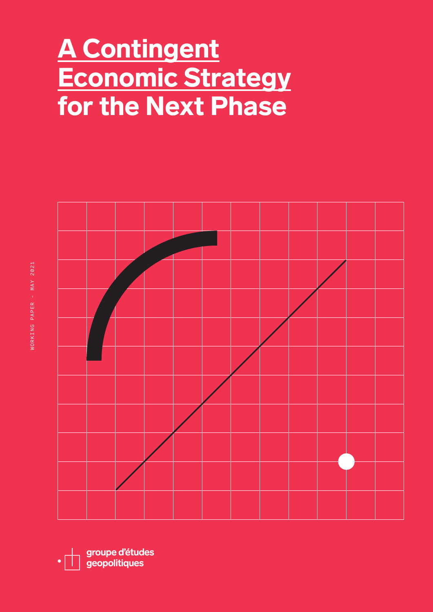# A Contingent Economic Strategy for the Next Phase



groupe d'études geopolitiques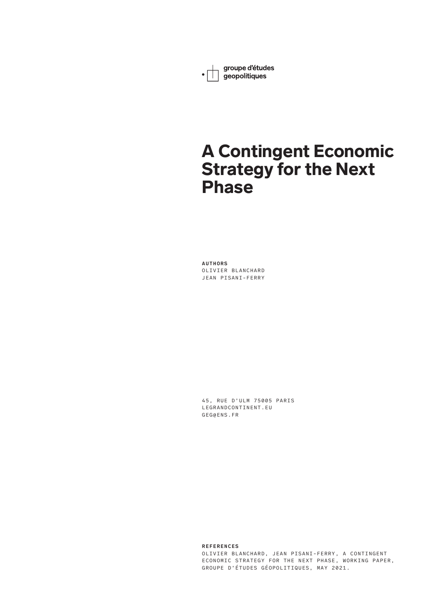groupe d'études • sroupe d'étude

# A Contingent Economic Strategy for the Next Phase

**AUTHORS** OLIVIER BLANCHARD JEAN PISANI-FERRY

45, RUE D'ULM 75005 PARIS LEGRANDCONTINENT.EU GEG@ENS.FR

**REFERENCES** OLIVIER BLANCHARD, JEAN PISANI-FERRY, A CONTINGENT ECONOMIC STRATEGY FOR THE NEXT PHASE, WORKING PAPER, GROUPE D'ÉTUDES GÉOPOLITIQUES, MAY 2021.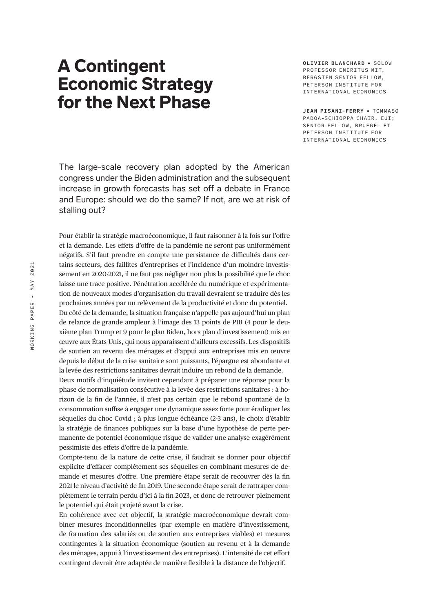# A Contingent Economic Strategy for the Next Phase

**OLIVIER BLANCHARD • SOLOW** PROFESSOR EMERTTUS MTT BERGSTEN SENIOR FELLOW, PETERSON INSTITUTE FOR INTERNATIONAL ECONOMICS

**JEAN PISANI-FERRY** • TO MMA SO PADOA-SCHIOPPA CHAIR, EUI; SENIOR FELLOW, BRUEGEL ET PETERSON INSTITUTE FOR INTERNATIONAL ECONOMICS

The large-scale recovery plan adopted by the American congress under the Biden administration and the subsequent increase in growth forecasts has set off a debate in France and Europe: should we do the same? If not, are we at risk of stalling out?

Pour établir la stratégie macroéconomique, il faut raisonner à la fois sur l'offre et la demande. Les effets d'offre de la pandémie ne seront pas uniformément négatifs. S'il faut prendre en compte une persistance de difficultés dans certains secteurs, des faillites d'entreprises et l'incidence d'un moindre investissement en 2020-2021, il ne faut pas négliger non plus la possibilité que le choc laisse une trace positive. Pénétration accélérée du numérique et expérimentation de nouveaux modes d'organisation du travail devraient se traduire dès les prochaines années par un relèvement de la productivité et donc du potentiel. Du côté de la demande, la situation française n'appelle pas aujourd'hui un plan de relance de grande ampleur à l'image des 13 points de PIB (4 pour le deuxième plan Trump et 9 pour le plan Biden, hors plan d'investissement) mis en œuvre aux États-Unis, qui nous apparaissent d'ailleurs excessifs. Les dispositifs de soutien au revenu des ménages et d'appui aux entreprises mis en œuvre depuis le début de la crise sanitaire sont puissants, l'épargne est abondante et la levée des restrictions sanitaires devrait induire un rebond de la demande.

Deux motifs d'inquiétude invitent cependant à préparer une réponse pour la phase de normalisation consécutive à la levée des restrictions sanitaires : à horizon de la fin de l'année, il n'est pas certain que le rebond spontané de la consommation suffise à engager une dynamique assez forte pour éradiquer les séquelles du choc Covid ; à plus longue échéance (2-3 ans), le choix d'établir la stratégie de finances publiques sur la base d'une hypothèse de perte permanente de potentiel économique risque de valider une analyse exagérément pessimiste des effets d'offre de la pandémie.

Compte-tenu de la nature de cette crise, il faudrait se donner pour objectif explicite d'effacer complètement ses séquelles en combinant mesures de demande et mesures d'offre. Une première étape serait de recouvrer dès la fin 2021 le niveau d'activité de fin 2019. Une seconde étape serait de rattraper complètement le terrain perdu d'ici à la fin 2023, et donc de retrouver pleinement le potentiel qui était projeté avant la crise.

En cohérence avec cet objectif, la stratégie macroéconomique devrait combiner mesures inconditionnelles (par exemple en matière d'investissement, de formation des salariés ou de soutien aux entreprises viables) et mesures contingentes à la situation économique (soutien au revenu et à la demande des ménages, appui à l'investissement des entreprises). L'intensité de cet effort contingent devrait être adaptée de manière flexible à la distance de l'objectif.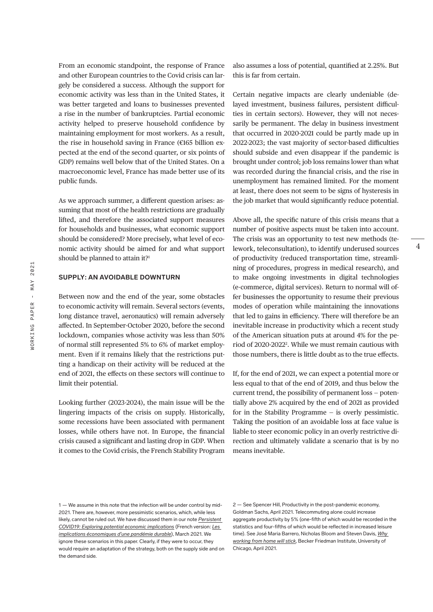From an economic standpoint, the response of France and other European countries to the Covid crisis can largely be considered a success. Although the support for economic activity was less than in the United States, it was better targeted and loans to businesses prevented a rise in the number of bankruptcies. Partial economic activity helped to preserve household confidence by maintaining employment for most workers. As a result, the rise in household saving in France (€165 billion expected at the end of the second quarter, or six points of GDP) remains well below that of the United States. On a macroeconomic level, France has made better use of its public funds.

As we approach summer, a different question arises: assuming that most of the health restrictions are gradually lifted, and therefore the associated support measures for households and businesses, what economic support should be considered? More precisely, what level of economic activity should be aimed for and what support should be planned to attain it?<sup>1</sup>

### **SUPPLY: AN AVOIDABLE DOWNTURN**

Between now and the end of the year, some obstacles to economic activity will remain. Several sectors (events, long distance travel, aeronautics) will remain adversely affected. In September-October 2020, before the second lockdown, companies whose activity was less than 50% of normal still represented 5% to 6% of market employment. Even if it remains likely that the restrictions putting a handicap on their activity will be reduced at the end of 2021, the effects on these sectors will continue to limit their potential.

Looking further (2023-2024), the main issue will be the lingering impacts of the crisis on supply. Historically, some recessions have been associated with permanent losses, while others have not. In Europe, the financial crisis caused a significant and lasting drop in GDP. When it comes to the Covid crisis, the French Stability Program also assumes a loss of potential, quantified at 2.25%. But this is far from certain.

Certain negative impacts are clearly undeniable (delayed investment, business failures, persistent difficulties in certain sectors). However, they will not necessarily be permanent. The delay in business investment that occurred in 2020-2021 could be partly made up in 2022-2023; the vast majority of sector-based difficulties should subside and even disappear if the pandemic is brought under control; job loss remains lower than what was recorded during the financial crisis, and the rise in unemployment has remained limited. For the moment at least, there does not seem to be signs of hysteresis in the job market that would significantly reduce potential.

Above all, the specific nature of this crisis means that a number of positive aspects must be taken into account. The crisis was an opportunity to test new methods (telework, teleconsultation), to identify underused sources of productivity (reduced transportation time, streamlining of procedures, progress in medical research), and to make ongoing investments in digital technologies (e-commerce, digital services). Return to normal will offer businesses the opportunity to resume their previous modes of operation while maintaining the innovations that led to gains in efficiency. There will therefore be an inevitable increase in productivity which a recent study of the American situation puts at around 4% for the period of 2020-2022<sup>2</sup>. While we must remain cautious with those numbers, there is little doubt as to the true effects.

If, for the end of 2021, we can expect a potential more or less equal to that of the end of 2019, and thus below the current trend, the possibility of permanent loss — potentially above 2% acquired by the end of 2021 as provided for in the Stability Programme — is overly pessimistic. Taking the position of an avoidable loss at face value is liable to steer economic policy in an overly restrictive direction and ultimately validate a scenario that is by no means inevitable.

2 — See Spencer Hill, Productivity in the post-pandemic economy, Goldman Sachs, April 2021. Telecommuting alone could increase aggregate productivity by 5% (one-fifth of which would be recorded in the statistics and four-fifths of which would be reflected in increased leisure time). See José Maria Barrero, Nicholas Bloom and Steven Davis, *[Why](https://bfi.uchicago.edu/working-paper/why-working-from-home-will-stick/)  [working from home will stick](https://bfi.uchicago.edu/working-paper/why-working-from-home-will-stick/)*, Becker Friedman Institute, University of Chicago, April 2021.

<sup>1 —</sup> We assume in this note that the infection will be under control by mid-2021. There are, however, more pessimistic scenarios, which, while less likely, cannot be ruled out. We have discussed them in our note *[Persistent](https://www.piie.com/blogs/realtime-economic-issues-watch/persistent-covid-19-exploring-potential-economic-implications)  [COVID19: Exploring potential economic implications](https://www.piie.com/blogs/realtime-economic-issues-watch/persistent-covid-19-exploring-potential-economic-implications)* (French version: *[Les](https://tnova.fr/notes/les-implications-economiques-potentielles-d-une-pandemie-durable)  [implications économiques d'une pandémie durable](https://tnova.fr/notes/les-implications-economiques-potentielles-d-une-pandemie-durable)*), March 2021. We ignore these scenarios in this paper. Clearly, if they were to occur, they would require an adaptation of the strategy, both on the supply side and on the demand side.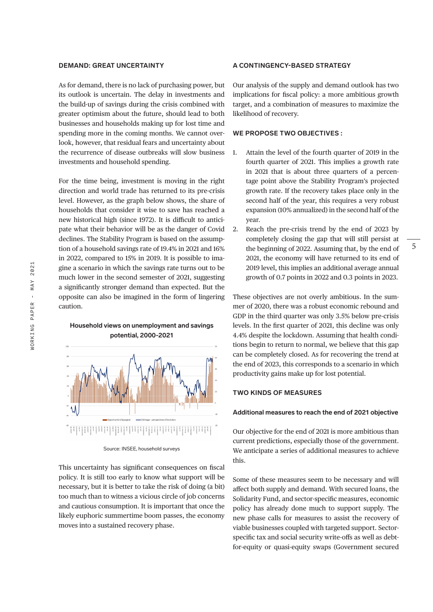### **DEMAND: GREAT UNCERTAINTY**

As for demand, there is no lack of purchasing power, but its outlook is uncertain. The delay in investments and the build-up of savings during the crisis combined with greater optimism about the future, should lead to both businesses and households making up for lost time and spending more in the coming months. We cannot overlook, however, that residual fears and uncertainty about the recurrence of disease outbreaks will slow business investments and household spending.

For the time being, investment is moving in the right direction and world trade has returned to its pre-crisis level. However, as the graph below shows, the share of households that consider it wise to save has reached a new historical high (since 1972). It is difficult to anticipate what their behavior will be as the danger of Covid declines. The Stability Program is based on the assumption of a household savings rate of 19.4% in 2021 and 16% in 2022, compared to 15% in 2019. It is possible to imagine a scenario in which the savings rate turns out to be much lower in the second semester of 2021, suggesting a significantly stronger demand than expected. But the opposite can also be imagined in the form of lingering caution.



**Household views on unemployment and savings potential, 2000-2021**

This uncertainty has significant consequences on fiscal policy. It is still too early to know what support will be necessary, but it is better to take the risk of doing (a bit) too much than to witness a vicious circle of job concerns and cautious consumption. It is important that once the likely euphoric summertime boom passes, the economy moves into a sustained recovery phase.

#### **A CONTINGENCY-BASED STRATEGY**

Our analysis of the supply and demand outlook has two implications for fiscal policy: a more ambitious growth target, and a combination of measures to maximize the likelihood of recovery.

#### **WE PROPOSE TWO OBJECTIVES :**

- 1. Attain the level of the fourth quarter of 2019 in the fourth quarter of 2021. This implies a growth rate in 2021 that is about three quarters of a percentage point above the Stability Program's projected growth rate. If the recovery takes place only in the second half of the year, this requires a very robust expansion (10% annualized) in the second half of the year.
- 2. Reach the pre-crisis trend by the end of 2023 by completely closing the gap that will still persist at the beginning of 2022. Assuming that, by the end of 2021, the economy will have returned to its end of 2019 level, this implies an additional average annual growth of 0.7 points in 2022 and 0.3 points in 2023.

These objectives are not overly ambitious. In the summer of 2020, there was a robust economic rebound and GDP in the third quarter was only 3.5% below pre-crisis levels. In the first quarter of 2021, this decline was only 4.4% despite the lockdown. Assuming that health conditions begin to return to normal, we believe that this gap can be completely closed. As for recovering the trend at the end of 2023, this corresponds to a scenario in which productivity gains make up for lost potential.

## **TWO KINDS OF MEASURES**

#### **Additional measures to reach the end of 2021 objective**

Our objective for the end of 2021 is more ambitious than current predictions, especially those of the government. We anticipate a series of additional measures to achieve this.

Some of these measures seem to be necessary and will affect both supply and demand. With secured loans, the Solidarity Fund, and sector-specific measures, economic policy has already done much to support supply. The new phase calls for measures to assist the recovery of viable businesses coupled with targeted support. Sectorspecific tax and social security write-offs as well as debtfor-equity or quasi-equity swaps (Government secured

Source: INSEE, household surveys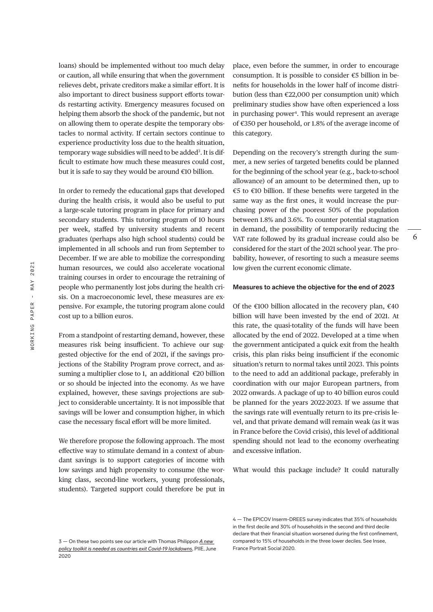loans) should be implemented without too much delay or caution, all while ensuring that when the government relieves debt, private creditors make a similar effort. It is also important to direct business support efforts towards restarting activity. Emergency measures focused on helping them absorb the shock of the pandemic, but not on allowing them to operate despite the temporary obstacles to normal activity. If certain sectors continue to experience productivity loss due to the health situation, temporary wage subsidies will need to be added<sup>3</sup>. It is difficult to estimate how much these measures could cost, but it is safe to say they would be around  $€10$  billion.

In order to remedy the educational gaps that developed during the health crisis, it would also be useful to put a large-scale tutoring program in place for primary and secondary students. This tutoring program of 10 hours per week, staffed by university students and recent graduates (perhaps also high school students) could be implemented in all schools and run from September to December. If we are able to mobilize the corresponding human resources, we could also accelerate vocational training courses in order to encourage the retraining of people who permanently lost jobs during the health crisis. On a macroeconomic level, these measures are expensive. For example, the tutoring program alone could cost up to a billion euros.

From a standpoint of restarting demand, however, these measures risk being insufficient. To achieve our suggested objective for the end of 2021, if the savings projections of the Stability Program prove correct, and assuming a multiplier close to 1, an additional  $\epsilon$ 20 billion or so should be injected into the economy. As we have explained, however, these savings projections are subject to considerable uncertainty. It is not impossible that savings will be lower and consumption higher, in which case the necessary fiscal effort will be more limited.

We therefore propose the following approach. The most effective way to stimulate demand in a context of abundant savings is to support categories of income with low savings and high propensity to consume (the working class, second-line workers, young professionals, students). Targeted support could therefore be put in place, even before the summer, in order to encourage consumption. It is possible to consider  $\epsilon$ 5 billion in benefits for households in the lower half of income distribution (less than €22,000 per consumption unit) which preliminary studies show have often experienced a loss in purchasing power<sup>4</sup>. This would represent an average of €350 per household, or 1.8% of the average income of this category.

Depending on the recovery's strength during the summer, a new series of targeted benefits could be planned for the beginning of the school year (e.g., back-to-school allowance) of an amount to be determined then, up to €5 to €10 billion. If these benefits were targeted in the same way as the first ones, it would increase the purchasing power of the poorest 50% of the population between 1.8% and 3.6%. To counter potential stagnation in demand, the possibility of temporarily reducing the VAT rate followed by its gradual increase could also be considered for the start of the 2021 school year. The probability, however, of resorting to such a measure seems low given the current economic climate.

6

# **Measures to achieve the objective for the end of 2023**

Of the  $\epsilon$ 100 billion allocated in the recovery plan,  $\epsilon$ 40 billion will have been invested by the end of 2021. At this rate, the quasi-totality of the funds will have been allocated by the end of 2022. Developed at a time when the government anticipated a quick exit from the health crisis, this plan risks being insufficient if the economic situation's return to normal takes until 2023. This points to the need to add an additional package, preferably in coordination with our major European partners, from 2022 onwards. A package of up to 40 billion euros could be planned for the years 2022-2023. If we assume that the savings rate will eventually return to its pre-crisis level, and that private demand will remain weak (as it was in France before the Covid crisis), this level of additional spending should not lead to the economy overheating and excessive inflation.

What would this package include? It could naturally

4 — The EPICOV Inserm-DREES survey indicates that 35% of households in the first decile and 30% of households in the second and third decile declare that their financial situation worsened during the first confinement, compared to 15% of households in the three lower deciles. See Insee, France Portrait Social 2020.

<sup>3 —</sup> On these two points see our article with Thomas Philippon *[A new](https://www.piie.com/events/new-policy-toolkit-needed-countries-exit-covid-19-lockdowns)  [policy toolkit is needed as countries exit Covid-19 lockdowns](https://www.piie.com/events/new-policy-toolkit-needed-countries-exit-covid-19-lockdowns)*, PIIE, June 2020